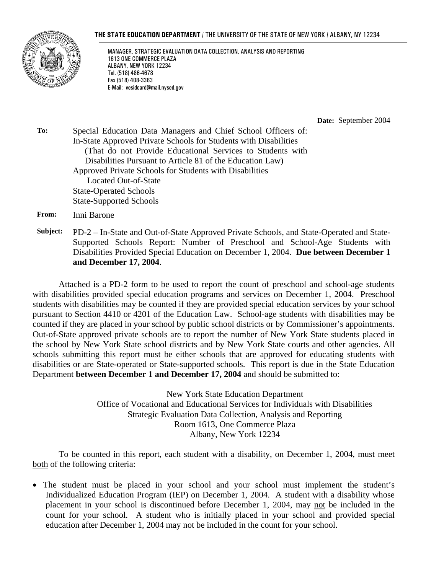#### **THE STATE EDUCATION DEPARTMENT** / THE UNIVERSITY OF THE STATE OF NEW YORK / ALBANY, NY 12234



MANAGER, STRATEGIC EVALUATION DATA COLLECTION, ANALYSIS AND REPORTING 1613 ONE COMMERCE PLAZA ALBANY, NEW YORK 12234 Tel. (518) 486-4678 Fax (518) 408-3363 E-Mail: vesidcard@mail.nysed.gov

**Date:** September 2004

**To:** Special Education Data Managers and Chief School Officers of: In-State Approved Private Schools for Students with Disabilities (That do not Provide Educational Services to Students with Disabilities Pursuant to Article 81 of the Education Law) Approved Private Schools for Students with Disabilities Located Out-of-State State-Operated Schools State-Supported Schools

**From:** Inni Barone

**Subject:** PD-2 – In-State and Out-of-State Approved Private Schools, and State-Operated and State-Supported Schools Report: Number of Preschool and School-Age Students with Disabilities Provided Special Education on December 1, 2004. **Due between December 1 and December 17, 2004**.

Attached is a PD-2 form to be used to report the count of preschool and school-age students with disabilities provided special education programs and services on December 1, 2004. Preschool students with disabilities may be counted if they are provided special education services by your school pursuant to Section 4410 or 4201 of the Education Law. School-age students with disabilities may be counted if they are placed in your school by public school districts or by Commissioner's appointments. Out-of-State approved private schools are to report the number of New York State students placed in the school by New York State school districts and by New York State courts and other agencies. All schools submitting this report must be either schools that are approved for educating students with disabilities or are State-operated or State-supported schools. This report is due in the State Education Department **between December 1 and December 17, 2004** and should be submitted to:

> New York State Education Department Office of Vocational and Educational Services for Individuals with Disabilities Strategic Evaluation Data Collection, Analysis and Reporting Room 1613, One Commerce Plaza Albany, New York 12234

To be counted in this report, each student with a disability, on December 1, 2004, must meet both of the following criteria:

• The student must be placed in your school and your school must implement the student's Individualized Education Program (IEP) on December 1, 2004. A student with a disability whose placement in your school is discontinued before December 1, 2004, may not be included in the count for your school. A student who is initially placed in your school and provided special education after December 1, 2004 may not be included in the count for your school.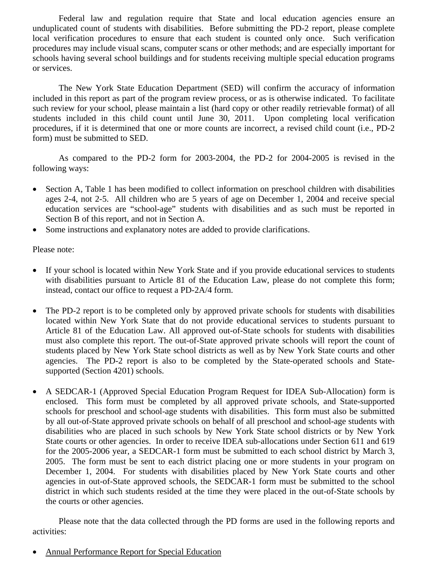Federal law and regulation require that State and local education agencies ensure an unduplicated count of students with disabilities. Before submitting the PD-2 report, please complete local verification procedures to ensure that each student is counted only once. Such verification procedures may include visual scans, computer scans or other methods; and are especially important for schools having several school buildings and for students receiving multiple special education programs or services.

The New York State Education Department (SED) will confirm the accuracy of information included in this report as part of the program review process, or as is otherwise indicated. To facilitate such review for your school, please maintain a list (hard copy or other readily retrievable format) of all students included in this child count until June 30, 2011. Upon completing local verification procedures, if it is determined that one or more counts are incorrect, a revised child count (i.e., PD-2 form) must be submitted to SED.

As compared to the PD-2 form for 2003-2004, the PD-2 for 2004-2005 is revised in the following ways:

- Section A, Table 1 has been modified to collect information on preschool children with disabilities ages 2-4, not 2-5. All children who are 5 years of age on December 1, 2004 and receive special education services are "school-age" students with disabilities and as such must be reported in Section B of this report, and not in Section A.
- Some instructions and explanatory notes are added to provide clarifications.

Please note:

- If your school is located within New York State and if you provide educational services to students with disabilities pursuant to Article 81 of the Education Law, please do not complete this form; instead, contact our office to request a PD-2A/4 form.
- The PD-2 report is to be completed only by approved private schools for students with disabilities located within New York State that do not provide educational services to students pursuant to Article 81 of the Education Law. All approved out-of-State schools for students with disabilities must also complete this report. The out-of-State approved private schools will report the count of students placed by New York State school districts as well as by New York State courts and other agencies. The PD-2 report is also to be completed by the State-operated schools and Statesupported (Section 4201) schools.
- A SEDCAR-1 (Approved Special Education Program Request for IDEA Sub-Allocation) form is enclosed. This form must be completed by all approved private schools, and State-supported schools for preschool and school-age students with disabilities. This form must also be submitted by all out-of-State approved private schools on behalf of all preschool and school-age students with disabilities who are placed in such schools by New York State school districts or by New York State courts or other agencies. In order to receive IDEA sub-allocations under Section 611 and 619 for the 2005-2006 year, a SEDCAR-1 form must be submitted to each school district by March 3, 2005. The form must be sent to each district placing one or more students in your program on December 1, 2004. For students with disabilities placed by New York State courts and other agencies in out-of-State approved schools, the SEDCAR-1 form must be submitted to the school district in which such students resided at the time they were placed in the out-of-State schools by the courts or other agencies.

Please note that the data collected through the PD forms are used in the following reports and activities:

• Annual Performance Report for Special Education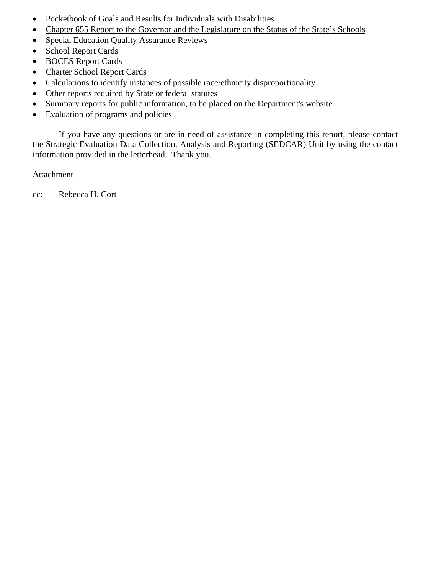- Pocketbook of Goals and Results for Individuals with Disabilities
- Chapter 655 Report to the Governor and the Legislature on the Status of the State's Schools
- Special Education Quality Assurance Reviews
- School Report Cards
- BOCES Report Cards
- Charter School Report Cards
- Calculations to identify instances of possible race/ethnicity disproportionality
- Other reports required by State or federal statutes
- Summary reports for public information, to be placed on the Department's website
- Evaluation of programs and policies

If you have any questions or are in need of assistance in completing this report, please contact the Strategic Evaluation Data Collection, Analysis and Reporting (SEDCAR) Unit by using the contact information provided in the letterhead. Thank you.

Attachment

cc: Rebecca H. Cort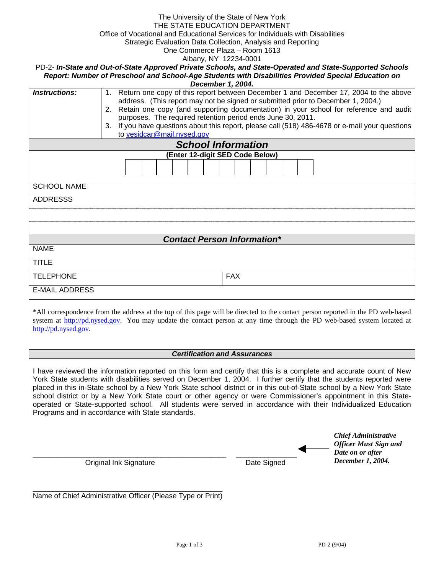| The University of the State of New York<br>THE STATE EDUCATION DEPARTMENT<br>Office of Vocational and Educational Services for Individuals with Disabilities<br>Strategic Evaluation Data Collection, Analysis and Reporting |                                                                                                                                                                                 |  |  |  |
|------------------------------------------------------------------------------------------------------------------------------------------------------------------------------------------------------------------------------|---------------------------------------------------------------------------------------------------------------------------------------------------------------------------------|--|--|--|
| One Commerce Plaza - Room 1613                                                                                                                                                                                               |                                                                                                                                                                                 |  |  |  |
|                                                                                                                                                                                                                              | Albany, NY 12234-0001<br>PD-2- In-State and Out-of-State Approved Private Schools, and State-Operated and State-Supported Schools                                               |  |  |  |
|                                                                                                                                                                                                                              | Report: Number of Preschool and School-Age Students with Disabilities Provided Special Education on                                                                             |  |  |  |
|                                                                                                                                                                                                                              | December 1, 2004.                                                                                                                                                               |  |  |  |
| <b>Instructions:</b>                                                                                                                                                                                                         | Return one copy of this report between December 1 and December 17, 2004 to the above<br>$1_{\cdot}$                                                                             |  |  |  |
|                                                                                                                                                                                                                              | address. (This report may not be signed or submitted prior to December 1, 2004.)<br>Retain one copy (and supporting documentation) in your school for reference and audit<br>2. |  |  |  |
|                                                                                                                                                                                                                              | purposes. The required retention period ends June 30, 2011.                                                                                                                     |  |  |  |
|                                                                                                                                                                                                                              | If you have questions about this report, please call (518) 486-4678 or e-mail your questions<br>3.                                                                              |  |  |  |
|                                                                                                                                                                                                                              | to vesidcar@mail.nysed.gov                                                                                                                                                      |  |  |  |
|                                                                                                                                                                                                                              | <b>School Information</b>                                                                                                                                                       |  |  |  |
|                                                                                                                                                                                                                              | (Enter 12-digit SED Code Below)                                                                                                                                                 |  |  |  |
|                                                                                                                                                                                                                              |                                                                                                                                                                                 |  |  |  |
| <b>SCHOOL NAME</b>                                                                                                                                                                                                           |                                                                                                                                                                                 |  |  |  |
| <b>ADDRESSS</b>                                                                                                                                                                                                              |                                                                                                                                                                                 |  |  |  |
|                                                                                                                                                                                                                              |                                                                                                                                                                                 |  |  |  |
|                                                                                                                                                                                                                              |                                                                                                                                                                                 |  |  |  |
|                                                                                                                                                                                                                              |                                                                                                                                                                                 |  |  |  |
|                                                                                                                                                                                                                              | <b>Contact Person Information*</b>                                                                                                                                              |  |  |  |
| <b>NAME</b>                                                                                                                                                                                                                  |                                                                                                                                                                                 |  |  |  |
| <b>TITLE</b>                                                                                                                                                                                                                 |                                                                                                                                                                                 |  |  |  |
| <b>TELEPHONE</b>                                                                                                                                                                                                             | <b>FAX</b>                                                                                                                                                                      |  |  |  |
| <b>E-MAIL ADDRESS</b>                                                                                                                                                                                                        |                                                                                                                                                                                 |  |  |  |

\*All correspondence from the address at the top of this page will be directed to the contact person reported in the PD web-based system at http://pd.nysed.gov. You may update the contact person at any time through the PD web-based system located at http://pd.nysed.gov.

## *Certification and Assurances*

I have reviewed the information reported on this form and certify that this is a complete and accurate count of New York State students with disabilities served on December 1, 2004. I further certify that the students reported were placed in this in-State school by a New York State school district or in this out-of-State school by a New York State school district or by a New York State court or other agency or were Commissioner's appointment in this Stateoperated or State-supported school. All students were served in accordance with their Individualized Education Programs and in accordance with State standards.

|                        |             | <b>Chief Administrative</b><br><b>Officer Must Sign and</b><br>Date on or after |  |
|------------------------|-------------|---------------------------------------------------------------------------------|--|
| Original Ink Signature | Date Signed | December 1, 2004.                                                               |  |

\_\_\_\_\_\_\_\_\_\_\_\_\_\_\_\_\_\_\_\_\_\_\_\_\_\_\_\_\_\_\_\_\_\_\_\_\_\_\_\_\_\_\_\_\_\_\_ Name of Chief Administrative Officer (Please Type or Print)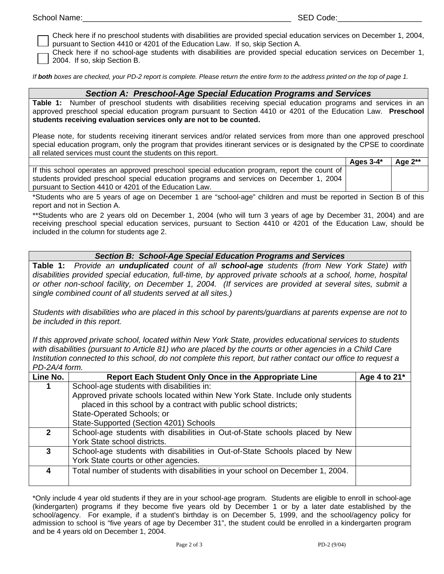| School I<br>Name |
|------------------|
|------------------|

Check here if no preschool students with disabilities are provided special education services on December 1, 2004, pursuant to Section 4410 or 4201 of the Education Law. If so, skip Section A.

Check here if no school-age students with disabilities are provided special education services on December 1, 2004. If so, skip Section B.

*If both boxes are checked, your PD-2 report is complete. Please return the entire form to the address printed on the top of page 1.* 

## *Section A: Preschool-Age Special Education Programs and Services*

**Table 1:** Number of preschool students with disabilities receiving special education programs and services in an approved preschool special education program pursuant to Section 4410 or 4201 of the Education Law. **Preschool students receiving evaluation services only are not to be counted.**

Please note, for students receiving itinerant services and/or related services from more than one approved preschool special education program, only the program that provides itinerant services or is designated by the CPSE to coordinate all related services must count the students on this report.

|                                                                                              | Ages $3-4^*$ | Age $2**$ |
|----------------------------------------------------------------------------------------------|--------------|-----------|
| If this school operates an approved preschool special education program, report the count of |              |           |
| students provided preschool special education programs and services on December 1, 2004      |              |           |
| pursuant to Section 4410 or 4201 of the Education Law.                                       |              |           |

\*Students who are 5 years of age on December 1 are "school-age" children and must be reported in Section B of this report and not in Section A.

\*\*Students who are 2 years old on December 1, 2004 (who will turn 3 years of age by December 31, 2004) and are receiving preschool special education services, pursuant to Section 4410 or 4201 of the Education Law, should be included in the column for students age 2.

## *Section B: School-Age Special Education Programs and Services*

**Table 1:** *Provide an unduplicated count of all school-age students (from New York State) with disabilities provided special education, full-time, by approved private schools at a school, home, hospital or other non-school facility, on December 1, 2004. (If services are provided at several sites, submit a single combined count of all students served at all sites.)*

*Students with disabilities who are placed in this school by parents/guardians at parents expense are not to be included in this report.* 

*If this approved private school, located within New York State, provides educational services to students with disabilities (pursuant to Article 81) who are placed by the courts or other agencies in a Child Care Institution connected to this school, do not complete this report, but rather contact our office to request a PD-2A/4 form.* 

| Line No.     | Report Each Student Only Once in the Appropriate Line                          | Age 4 to 21* |  |  |  |
|--------------|--------------------------------------------------------------------------------|--------------|--|--|--|
|              | School-age students with disabilities in:                                      |              |  |  |  |
|              | Approved private schools located within New York State. Include only students  |              |  |  |  |
|              | placed in this school by a contract with public school districts;              |              |  |  |  |
|              | State-Operated Schools; or                                                     |              |  |  |  |
|              | State-Supported (Section 4201) Schools                                         |              |  |  |  |
| $\mathbf{p}$ | School-age students with disabilities in Out-of-State schools placed by New    |              |  |  |  |
|              | York State school districts.                                                   |              |  |  |  |
| 3            | School-age students with disabilities in Out-of-State Schools placed by New    |              |  |  |  |
|              | York State courts or other agencies.                                           |              |  |  |  |
|              | Total number of students with disabilities in your school on December 1, 2004. |              |  |  |  |
|              |                                                                                |              |  |  |  |

\*Only include 4 year old students if they are in your school-age program. Students are eligible to enroll in school-age (kindergarten) programs if they become five years old by December 1 or by a later date established by the school/agency. For example, if a student's birthday is on December 5, 1999, and the school/agency policy for admission to school is "five years of age by December 31", the student could be enrolled in a kindergarten program and be 4 years old on December 1, 2004.